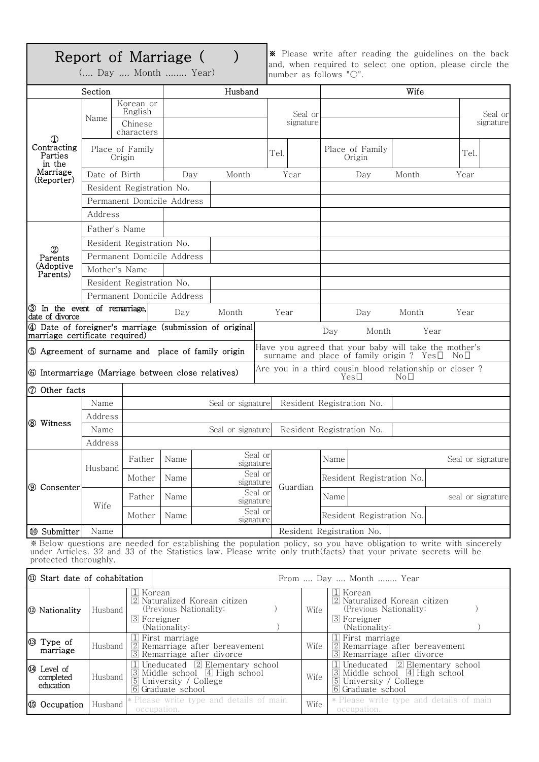# Report of Marriage ( )

(.... Day .... Month ........ Year)

※ Please write after reading the guidelines on the back and, when required to select one option, please circle the number as follows "○".

|                                                                                   | Section                   |                                 |                                         | Husband                                                |         |           |                                                                                                                   | Wife          |                                                                                                                     |
|-----------------------------------------------------------------------------------|---------------------------|---------------------------------|-----------------------------------------|--------------------------------------------------------|---------|-----------|-------------------------------------------------------------------------------------------------------------------|---------------|---------------------------------------------------------------------------------------------------------------------|
|                                                                                   | Name                      | Korean or<br>English            |                                         |                                                        | Seal or |           |                                                                                                                   |               | Seal or                                                                                                             |
| $^{\circ}$<br>Contracting<br>Parties<br>in the<br>Marriage<br>(Reporter)          |                           | Chinese<br>characters           |                                         |                                                        |         | signature |                                                                                                                   |               | signature                                                                                                           |
|                                                                                   | Place of Family<br>Origin |                                 |                                         |                                                        | Tel.    |           | Place of Family<br>Origin                                                                                         |               | Tel.                                                                                                                |
|                                                                                   |                           | Date of Birth                   | Day                                     | Month                                                  |         | Year      | Day                                                                                                               | Month         | Year                                                                                                                |
|                                                                                   | Resident Registration No. |                                 |                                         |                                                        |         |           |                                                                                                                   |               |                                                                                                                     |
|                                                                                   |                           | Permanent Domicile Address      |                                         |                                                        |         |           |                                                                                                                   |               |                                                                                                                     |
|                                                                                   | Address                   |                                 |                                         |                                                        |         |           |                                                                                                                   |               |                                                                                                                     |
| $^{\circledR}$<br>Parents<br>(Adoptive<br>Parents)                                |                           | Father's Name                   |                                         |                                                        |         |           |                                                                                                                   |               |                                                                                                                     |
|                                                                                   | Resident Registration No. |                                 |                                         |                                                        |         |           |                                                                                                                   |               |                                                                                                                     |
|                                                                                   |                           | Permanent Domicile Address      |                                         |                                                        |         |           |                                                                                                                   |               |                                                                                                                     |
|                                                                                   | Mother's Name             |                                 |                                         |                                                        |         |           |                                                                                                                   |               |                                                                                                                     |
|                                                                                   | Resident Registration No. |                                 |                                         |                                                        |         |           |                                                                                                                   |               |                                                                                                                     |
|                                                                                   |                           | Permanent Domicile Address      |                                         |                                                        |         |           |                                                                                                                   |               |                                                                                                                     |
| 3 In the event of remarriage,                                                     |                           |                                 | Day                                     | Month                                                  | Year    |           | Day                                                                                                               | Month         | Year                                                                                                                |
| date of divorce                                                                   |                           |                                 |                                         | 4 Date of foreigner's marriage (submission of original |         |           |                                                                                                                   |               |                                                                                                                     |
| marriage certificate required)                                                    |                           |                                 |                                         |                                                        |         |           | Day<br>Month                                                                                                      |               | Year                                                                                                                |
| <b>6</b> Intermarriage (Marriage between close relatives)<br><b>7</b> Other facts |                           |                                 |                                         |                                                        |         |           | Are you in a third cousin blood relationship or closer ?<br>$Yes\Box$                                             | $\rm No\,\Pi$ |                                                                                                                     |
|                                                                                   | Name                      |                                 |                                         | Seal or signature                                      |         |           | Resident Registration No.                                                                                         |               |                                                                                                                     |
|                                                                                   | Address                   |                                 |                                         |                                                        |         |           |                                                                                                                   |               |                                                                                                                     |
| (8) Witness                                                                       | Name                      |                                 |                                         | Seal or signature                                      |         |           | Resident Registration No.                                                                                         |               |                                                                                                                     |
|                                                                                   | Address                   |                                 |                                         |                                                        |         |           |                                                                                                                   |               |                                                                                                                     |
| <b>9</b> Consenter                                                                |                           | Father                          | Name                                    | Seal or<br>signature                                   |         |           | Name                                                                                                              |               | Seal or signature                                                                                                   |
|                                                                                   | Husband                   | Mother                          | Name                                    | Seal or<br>signature                                   |         |           | Resident Registration No.                                                                                         |               |                                                                                                                     |
|                                                                                   | Wife                      | Father                          | Name                                    | Seal or<br>signature                                   |         | Guardian  | Name                                                                                                              |               | seal or signature                                                                                                   |
|                                                                                   |                           | Mother                          | Name                                    | Seal or<br>signature                                   |         |           | Resident Registration No.                                                                                         |               |                                                                                                                     |
| <sup>®</sup> Submitter                                                            | Name                      |                                 |                                         |                                                        |         |           | Resident Registration No.                                                                                         |               |                                                                                                                     |
| protected thoroughly.                                                             |                           |                                 |                                         |                                                        |         |           | under Articles. 32 and 33 of the Statistics law. Please write only truth(facts) that your private secrets will be |               | * Below questions are needed for establishing the population policy, so you have obligation to write with sincerely |
| <b>E</b> Start date of cohabitation                                               |                           |                                 |                                         |                                                        |         |           | From  Day  Month  Year                                                                                            |               |                                                                                                                     |
| <b><sup>1</sup></b> Nationality                                                   | Husband                   | $\rm \Pi$ Korean<br>3 Foreigner | (Previous Nationality:<br>(Nationality: | $\boxed{2}$ Naturalized Korean citizen                 |         | Wife      | 1  Korean<br><sup>2</sup> Naturalized Korean citizen<br>(Previous Nationality:<br>3 Foreigner<br>(Nationality:    |               |                                                                                                                     |
| ക പ                                                                               |                           | 1                               | First marriage                          |                                                        |         |           | $\Box$ First marriage                                                                                             |               |                                                                                                                     |

|                                      |         | $ 0 $ L of eigher<br>(Nationality:                                                                                                                                 |      | $ 0 $ L OI CIRIICI<br>(Nationality:                                                                                                                                |
|--------------------------------------|---------|--------------------------------------------------------------------------------------------------------------------------------------------------------------------|------|--------------------------------------------------------------------------------------------------------------------------------------------------------------------|
| <b>3</b> Type of<br>marriage         |         | $\mathbb I$ First marriage<br>Husband $\lfloor 2 \rfloor$ Remarriage after bereavement<br>3 Remarriage after divorce                                               | Wife | $\Box$ First marriage<br>$\boxed{2}$ Remarriage after bereavement<br>3 Remarriage after divorce                                                                    |
| 4 Level of<br>completed<br>education |         | $\boxed{1}$ Uneducated $\boxed{2}$ Elementary school<br>3 Middle school 4 High school<br>$ Hussband $ $\frac{10}{5}$ University / College<br>$ 6 $ Graduate school | Wife | $\boxed{1}$ Uneducated $\boxed{2}$ Elementary school<br>$\overline{3}$ Middle school $\overline{4}$ High school<br>5 University / College<br>$ 6 $ Graduate school |
| <b>6</b> Occupation                  | Husband | Please write type and details of main<br>occupation.                                                                                                               | Wife | * Please write type and details of main<br>occupation.                                                                                                             |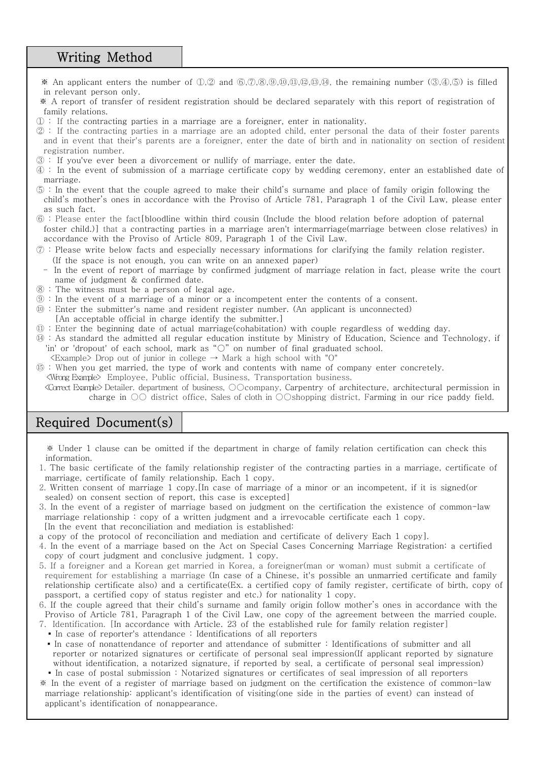## Writing Method

- ※ An applicant enters the number of ①,② and ⑥,⑦,⑧,⑨,⑩,⑪,⑫,⑬,⑭, the remaining number (③,④,⑤) is filled in relevant person only.
- ※ A report of transfer of resident registration should be declared separately with this report of registration of family relations.<br>① : If the contracting parties in a marriage are a foreigner, enter in nationality.<br>② : If the contracting parties in a marriage are an adopted child, enter personal the data of their foster parents
- 
- and in event that their's parents are a foreigner, enter the date of birth and in nationality on section of resident registration number.<br>③ : If you've ever been a divorcement or nullify of marriage, enter the date.<br>④ : In the event of submission of a marriage certificate copy by wedding ceremony, enter an established date of
- 
- 
- marriage. ⑤ : In the event that the couple agreed to make their child's surname and place of family origin following the child's mother's ones in accordance with the Proviso of Article 781, Paragraph 1 of the Civil Law, please enter as such fact.<br>⑥ : Please enter the fact[bloodline within third cousin (Include the blood relation before adoption of paternal
- foster child.)] that a contracting parties in a marriage aren't intermarriage(marriage between close relatives) in accordance with the Proviso of Article 809, Paragraph 1 of the Civil Law.
- $\oslash$  : Please write below facts and especially necessary informations for clarifying the family relation register.<br>(If the space is not enough, you can write on an annexed paper)
- In the event of report of marriage by confirmed judgment of marriage relation in fact, please write the court name of judgment & confirmed date.<br>  $\circledR$ : The witness must be a person of legal age.<br>  $\circledR$ : In the event of a marriage of a minor or a incompetent enter the contents of a consent.<br>  $\circledR$ : Enter the submitter's name a
- 
- 
- 
- [An acceptable official in charge identify the submitter.]
- ⑪ : Enter the beginning date of actual marriage(cohabitation) with couple regardless of wedding day. ⑭ : As standard the admitted all regular education institute by Ministry of Education, Science and Technology, if
- 'in' or 'dropout' of each school, mark as "○" on number of final graduated school.<br> $\langle Example \rangle$  Drop out of junior in college  $\rightarrow$  Mark a high school with "O"
- 
- ⑮ : When you get married, the type of work and contents with name of company enter concretely. <Wrong Example> Employee, Public official, Business, Transportation business. <Correct Example> Detailer. department of business, ○○company, Carpentry of architecture, architectural permission in
	- charge in ○○ district office, Sales of cloth in ○○shopping district, Farming in our rice paddy field.

#### Required Document(s)

※ Under 1 clause can be omitted if the department in charge of family relation certification can check this information.

- 1. The basic certificate of the family relationship register of the contracting parties in a marriage, certificate of marriage, certificate of family relationship. Each 1 copy.
- 2. Written consent of marriage 1 copy.[In case of marriage of a minor or an incompetent, if it is signed(or sealed) on consent section of report, this case is excepted]
- 3. In the event of a register of marriage based on judgment on the certification the existence of common-law marriage relationship : copy of a written judgment and a irrevocable certificate each 1 copy.
- [In the event that reconciliation and mediation is established:
- a copy of the protocol of reconciliation and mediation and certificate of delivery Each 1 copy].
- 4. In the event of a marriage based on the Act on Special Cases Concerning Marriage Registration: a certified copy of court judgment and conclusive judgment. 1 copy.
- 5. If a foreigner and a Korean get married in Korea, a foreigner(man or woman) must submit a certificate of requirement for establishing a marriage (In case of a Chinese, it's possible an unmarried certificate and family relationship certificate also) and a certificate(Ex. a certified copy of family register, certificate of birth, copy of passport, a certified copy of status register and etc.) for nationality 1 copy.
- 6. If the couple agreed that their child's surname and family origin follow mother's ones in accordance with the Proviso of Article 781, Paragraph 1 of the Civil Law, one copy of the agreement between the married couple.
- 7. Identification. [In accordance with Article. 23 of the established rule for family relation register]
- In case of reporter's attendance : Identifications of all reporters
- In case of nonattendance of reporter and attendance of submitter : Identifications of submitter and all reporter or notarized signatures or certificate of personal seal impression(If applicant reported by signature without identification, a notarized signature, if reported by seal, a certificate of personal seal impression)<br>▪ In case of postal submission : Notarized signatures or certificates of seal impression of all reporters
- ※ In the event of a register of marriage based on judgment on the certification the existence of common-law marriage relationship: applicant's identification of visiting(one side in the parties of event) can instead of applicant's identification of nonappearance.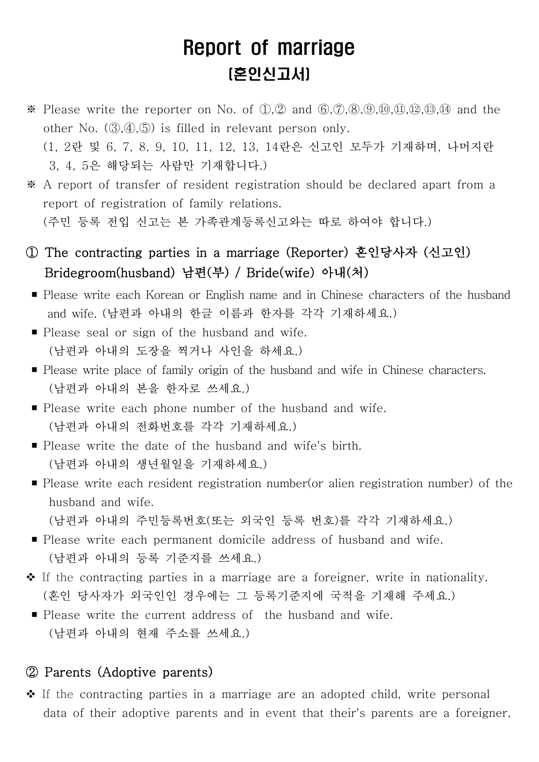# Report of marriage (혼인신고서)

※ Please write the reporter on No. of ①,② and ⑥,⑦,⑧,⑨,⑩,⑪,⑫,⑬,⑭ and the other No. (③,④,⑤) is filled in relevant person only. (1, 2란 및 6, 7, 8, 9, 10, 11, 12, 13, 14란은 신고인 모두가 기재하며, 나머지란

3, 4, 5은 해당되는 사람만 기재합니다.)

※ A report of transfer of resident registration should be declared apart from a report of registration of family relations. (주민 등록 전입 신고는 본 가족관계등록신고와는 따로 하여야 합니다.)

- ① The contracting parties in a marriage (Reporter) 혼인당사자 (신고인) Bridegroom(husband) 남편(부) / Bride(wife) 아내(처)
- Please write each Korean or English name and in Chinese characters of the husband and wife. (남편과 아내의 한글 이름과 한자를 각각 기재하세요.)
- Please seal or sign of the husband and wife.<br>(남편과 아내의 도장을 찍거나 사인을 하세요.)
- Please write place of family origin of the husband and wife in Chinese characters.<br>(남편과 아내의 본을 한자로 쓰세요.)
- Please write each phone number of the husband and wife.<br>(남편과 아내의 전화번호를 각각 기재하세요.)
- Please write the date of the husband and wife's birth.<br>(남편과 아내의 생년월일을 기재하세요.)
- Please write each resident registration number(or alien registration number) of the husband and wife.<br>(남편과 아내의 주민등록번호(또는 외국인 등록 번호)를 각각 기재하세요.)

- Please write each permanent domicile address of husband and wife.<br>(남편과 아내의 등록 기준지를 쓰세요.)
- <sup>v</sup>If the contracting parties in a marriage are a foreigner, write in nationality. (혼인 당사자가 외국인인 경우에는 그 등록기준지에 국적을 기재해 주세요.)
- Please write the current address of the husband and wife. (남편과 아내의 현재 주소를 쓰세요.)

#### ② Parents (Adoptive parents)

 $\triangle$  If the contracting parties in a marriage are an adopted child, write personal data of their adoptive parents and in event that their's parents are a foreigner,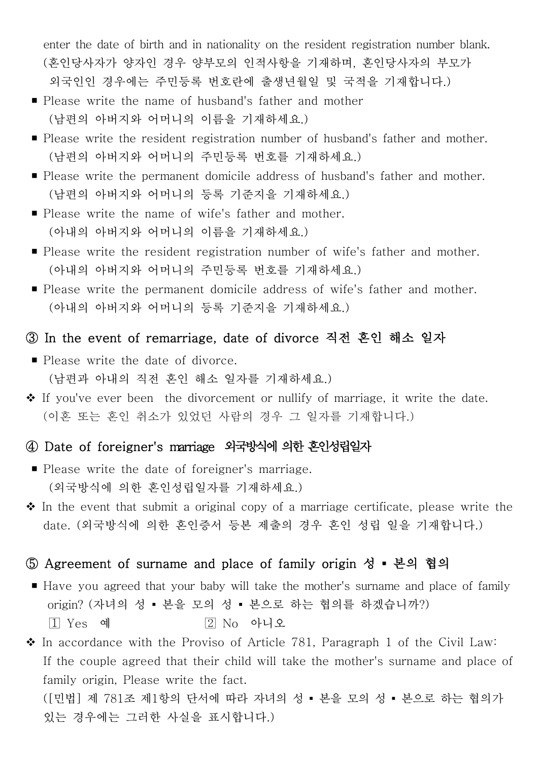enter the date of birth and in nationality on the resident registration number blank. (혼인당사자가 양자인 경우 양부모의 인적사항을 기재하며, 혼인당사자의 부모가 외국인인 경우에는 주민등록 번호란에 출생년월일 및 국적을 기재합니다.)

- Please write the name of husband's father and mother (남편의 아버지와 어머니의 이름을 기재하세요.)
- Please write the resident registration number of husband's father and mother. (남편의 아버지와 어머니의 주민등록 번호를 기재하세요.)
- Please write the permanent domicile address of husband's father and mother.<br>(남편의 아버지와 어머니의 등록 기준지을 기재하세요.)
- Please write the name of wife's father and mother.<br>(아내의 아버지와 어머니의 이름을 기재하세요.)
- Please write the resident registration number of wife's father and mother. (아내의 아버지와 어머니의 주민등록 번호를 기재하세요.)
- Please write the permanent domicile address of wife's father and mother.<br>(아내의 아버지와 어머니의 등록 기준지을 기재하세요.)

# ③ In the event of remarriage, date of divorce 직전 혼인 해소 일자

- Please write the date of divorce.<br>(남편과 아내의 직전 혼인 해소 일자를 기재하세요.)
- <sup>v</sup>If you've ever been the divorcement or nullify of marriage, it write the date. (이혼 또는 혼인 취소가 있었던 사람의 경우 그 일자를 기재합니다.)

# ④ Date of foreigner's marriage 외국방식에 의한 혼인성립일자

- Please write the date of foreigner's marriage.<br>(외국방식에 의한 혼인성립일자를 기재하세요.)
- $\hat{\cdot}$  In the event that submit a original copy of a marriage certificate, please write the date. (외국방식에 의한 혼인증서 등본 제출의 경우 혼인 성립 일을 기재합니다.)

# ⑤ Agreement of surname and place of family origin 성 ▪ 본의 협의

- Have you agreed that your baby will take the mother's surname and place of family origin? (자녀의 성 ▪ 본을 모의 성 ▪ 본으로 하는 협의를 하겠습니까?)  $\boxed{1}$  Yes 예  $\boxed{2}$  No 아니오
- $\cdot$  In accordance with the Proviso of Article 781, Paragraph 1 of the Civil Law: If the couple agreed that their child will take the mother's surname and place of family origin, Please write the fact. ([민법] 제 781조 제1항의 단서에 따라 자녀의 성 ▪ 본을 모의 성 ▪ 본으로 하는 협의가

있는 경우에는 그러한 사실을 표시합니다.)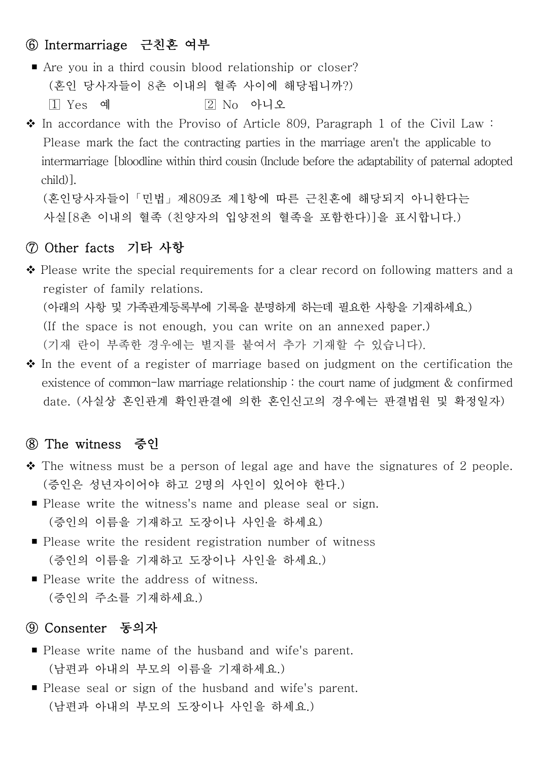# ⑥ Intermarriage 근친혼 여부

- Are you in a third cousin blood relationship or closer? (혼인 당사자들이 8촌 이내의 혈족 사이에 해당됩니까?)  $\boxed{1}$  Yes 예  $\boxed{2}$  No 아니오
- $\cdot$  In accordance with the Proviso of Article 809, Paragraph 1 of the Civil Law : Please mark the fact the contracting parties in the marriage aren't the applicable to intermarriage [bloodline within third cousin (Include before the adaptability of paternal adopted child)].<br>(혼인당사자들이「민법」제809조 제1항에 따른 근친혼에 해당되지 아니한다는

사실[8촌 이내의 혈족 (친양자의 입양전의 혈족을 포함한다)]을 표시합니다.)

#### ⑦ Other facts 기타 사항

- $\triangle$  Please write the special requirements for a clear record on following matters and a register of family relations. (아래의 사항 및 가족관계등록부에 기록을 분명하게 하는데 필요한 사항을 기재하세요.) (If the space is not enough, you can write on an annexed paper.) (기재 란이 부족한 경우에는 별지를 붙여서 추가 기재할 수 있습니다).
- $\triangle$  In the event of a register of marriage based on judgment on the certification the existence of common-law marriage relationship : the court name of judgment  $&$  confirmed date. (사실상 혼인관계 확인판결에 의한 혼인신고의 경우에는 판결법원 및 확정일자)

#### ⑧ The witness 증인

- $\cdot$  The witness must be a person of legal age and have the signatures of 2 people. (증인은 성년자이어야 하고 2명의 사인이 있어야 한다.)
- Please write the witness's name and please seal or sign.<br>(증인의 이름을 기재하고 도장이나 사인을 하세요)
- Please write the resident registration number of witness (증인의 이름을 기재하고 도장이나 사인을 하세요.)
- Please write the address of witness.<br>(증인의 주소를 기재하세요.)

#### ⑨ Consenter 동의자

- Please write name of the husband and wife's parent.<br>(남편과 아내의 부모의 이름을 기재하세요.)
- Please seal or sign of the husband and wife's parent.<br>(남편과 아내의 부모의 도장이나 사인을 하세요.)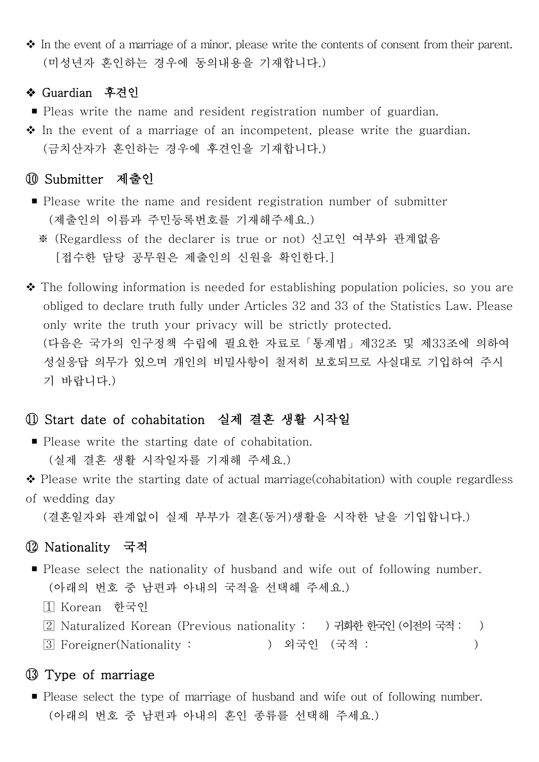◆ In the event of a marriage of a minor, please write the contents of consent from their parent.<br>(미성년자 혼인하는 경우에 동의내용을 기재합니다.)

#### ❖ Guardian 후견인

- Pleas write the name and resident registration number of guardian.
- ◆ In the event of a marriage of an incompetent, please write the guardian.<br>(금치산자가 혼인하는 경우에 후견인을 기재합니다.)

#### Submitter 제출인

- Please write the name and resident registration number of submitter (제출인의 이름과 주민등록번호를 기재해주세요.)
	- ※ (Regardless of the declarer is true or not) 신고인 여부와 관계없음 [접수한 담당 공무원은 제출인의 신원을 확인한다.]
- $\cdot$  The following information is needed for establishing population policies, so you are obliged to declare truth fully under Articles 32 and 33 of the Statistics Law. Please only write the truth your privacy will be strictly protected. (다음은 국가의 인구정책 수립에 필요한 자료로「통계법」제32조 및 제33조에 의하여 성실응답 의무가 있으며 개인의 비밀사항이 철저히 보호되므로 사실대로 기입하여 주시 기 바랍니다.)

# Start date of cohabitation 실제 결혼 생활 시작일

- Please write the starting date of cohabitation.<br>(실제 결혼 생활 시작일자를 기재해 주세요.)
- $\triangle$  Please write the starting date of actual marriage(cohabitation) with couple regardless
- of wedding day (결혼일자와 관계없이 실제 부부가 결혼(동거)생활을 시작한 날을 기입합니다.)

# Nationality 국적

- Please select the nationality of husband and wife out of following number.<br>(아래의 번호 중 남편과 아내의 국적을 선택해 주세요.)
	- Korean 한국인
	- Naturalized Korean (Previous nationality : ) 귀화한 한국인 (이전의 국적 : )
	- Foreigner(Nationality : ) 외국인 (국적 : )

#### Type of marriage

■ Please select the type of marriage of husband and wife out of following number.<br>(아래의 번호 중 남편과 아내의 혼인 종류를 선택해 주세요.)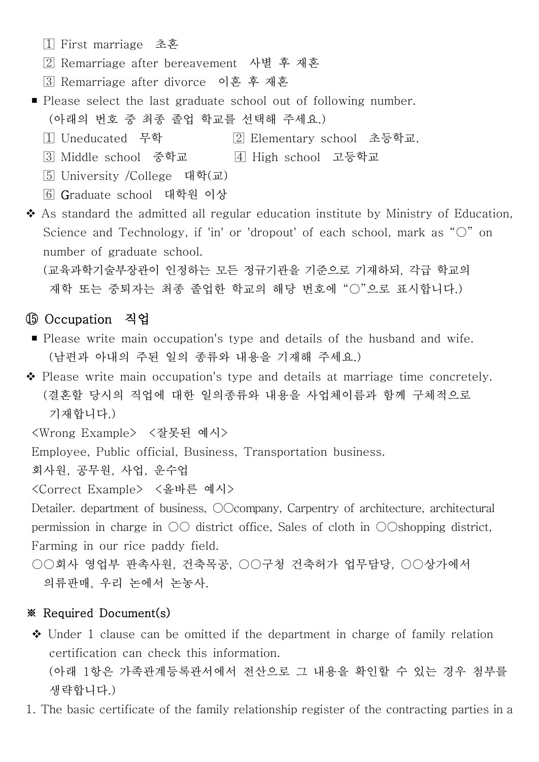- First marriage 초혼
- Remarriage after bereavement 사별 후 재혼
- Remarriage after divorce 이혼 후 재혼
- Please select the last graduate school out of following number.<br>(아래의 번호 중 최종 졸업 학교를 선택해 주세요.)
	- Uneducated 무학 Elementary school 초등학교. Middle school 중학교 High school 고등학교
	-
	- University /College 대학(교)
	- Graduate school 대학원 이상

 $\triangle$  As standard the admitted all regular education institute by Ministry of Education, Science and Technology, if 'in' or 'dropout' of each school, mark as "○" on number of graduate school.<br>(교육과학기술부장관이 인정하는 모든 정규기관을 기준으로 기재하되, 각급 학교의

재학 또는 중퇴자는 최종 졸업한 학교의 해당 번호에 "○"으로 표시합니다.)

## Occupation 직업

- Please write main occupation's type and details of the husband and wife.<br>(남편과 아내의 주된 일의 종류와 내용을 기재해 주세요.)
- <sup>v</sup>Please write main occupation's type and details at marriage time concretely. (결혼할 당시의 직업에 대한 일의종류와 내용을 사업체이름과 함께 구체적으로 기재합니다.)

<Wrong Example> <잘못된 예시>

Employee, Public official, Business, Transportation business.

회사원, 공무원, 사업, 운수업

<Correct Example> <올바른 예시>

Detailer. department of business,  $\odot$ Company, Carpentry of architecture, architectural permission in charge in ○○ district office, Sales of cloth in ○○shopping district, Farming in our rice paddy field.

○○회사 영업부 판촉사원, 건축목공, ○○구청 건축허가 업무담당, ○○상가에서 의류판매, 우리 논에서 논농사.

#### ※ Required Document(s)

- $\triangle$  Under 1 clause can be omitted if the department in charge of family relation certification can check this information. (아래 1항은 가족관계등록관서에서 전산으로 그 내용을 확인할 수 있는 경우 첨부를 생략합니다.)
- 1. The basic certificate of the family relationship register of the contracting parties in a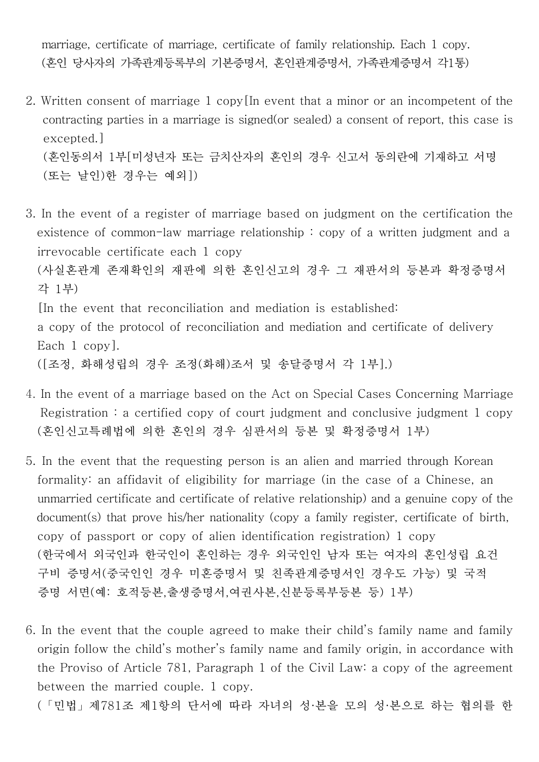marriage, certificate of marriage, certificate of family relationship. Each 1 copy. (혼인 당사자의 가족관계등록부의 기본증명서, 혼인관계증명서, 가족관계증명서 각1통)

2. Written consent of marriage 1 copy[In event that a minor or an incompetent of the contracting parties in a marriage is signed(or sealed) a consent of report, this case is excepted.] (혼인동의서 1부[미성년자 또는 금치산자의 혼인의 경우 신고서 동의란에 기재하고 서명

```
 (또는 날인)한 경우는 예외])
```
- 3. In the event of a register of marriage based on judgment on the certification the existence of common-law marriage relationship : copy of a written judgment and a irrevocable certificate each 1 copy (사실혼관계 존재확인의 재판에 의한 혼인신고의 경우 그 재판서의 등본과 확정증명서 각 1부) [In the event that reconciliation and mediation is established: a copy of the protocol of reconciliation and mediation and certificate of delivery Each 1 copy].<br>([조정, 화해성립의 경우 조정(화해)조서 및 송달증명서 각 1부].)
- 4. In the event of a marriage based on the Act on Special Cases Concerning Marriage Registration : a certified copy of court judgment and conclusive judgment  $1$  copy (혼인신고특례법에 의한 혼인의 경우 심판서의 등본 및 확정증명서 1부)
- 5. In the event that the requesting person is an alien and married through Korean formality: an affidavit of eligibility for marriage (in the case of a Chinese, an unmarried certificate and certificate of relative relationship) and a genuine copy of the document(s) that prove his/her nationality (copy a family register, certificate of birth, copy of passport or copy of alien identification registration) 1 copy (한국에서 외국인과 한국인이 혼인하는 경우 외국인인 남자 또는 여자의 혼인성립 요건 구비 증명서(중국인인 경우 미혼증명서 및 친족관계증명서인 경우도 가능) 및 국적 증명 서면(예: 호적등본,출생증명서,여권사본,신분등록부등본 등) 1부)
- 6. In the event that the couple agreed to make their child's family name and family origin follow the child's mother's family name and family origin, in accordance with the Proviso of Article 781, Paragraph 1 of the Civil Law: a copy of the agreement between the married couple. 1 copy.<br>(「민법」제781조 제1항의 단서에 따라 자녀의 성·본을 모의 성·본으로 하는 협의를 한